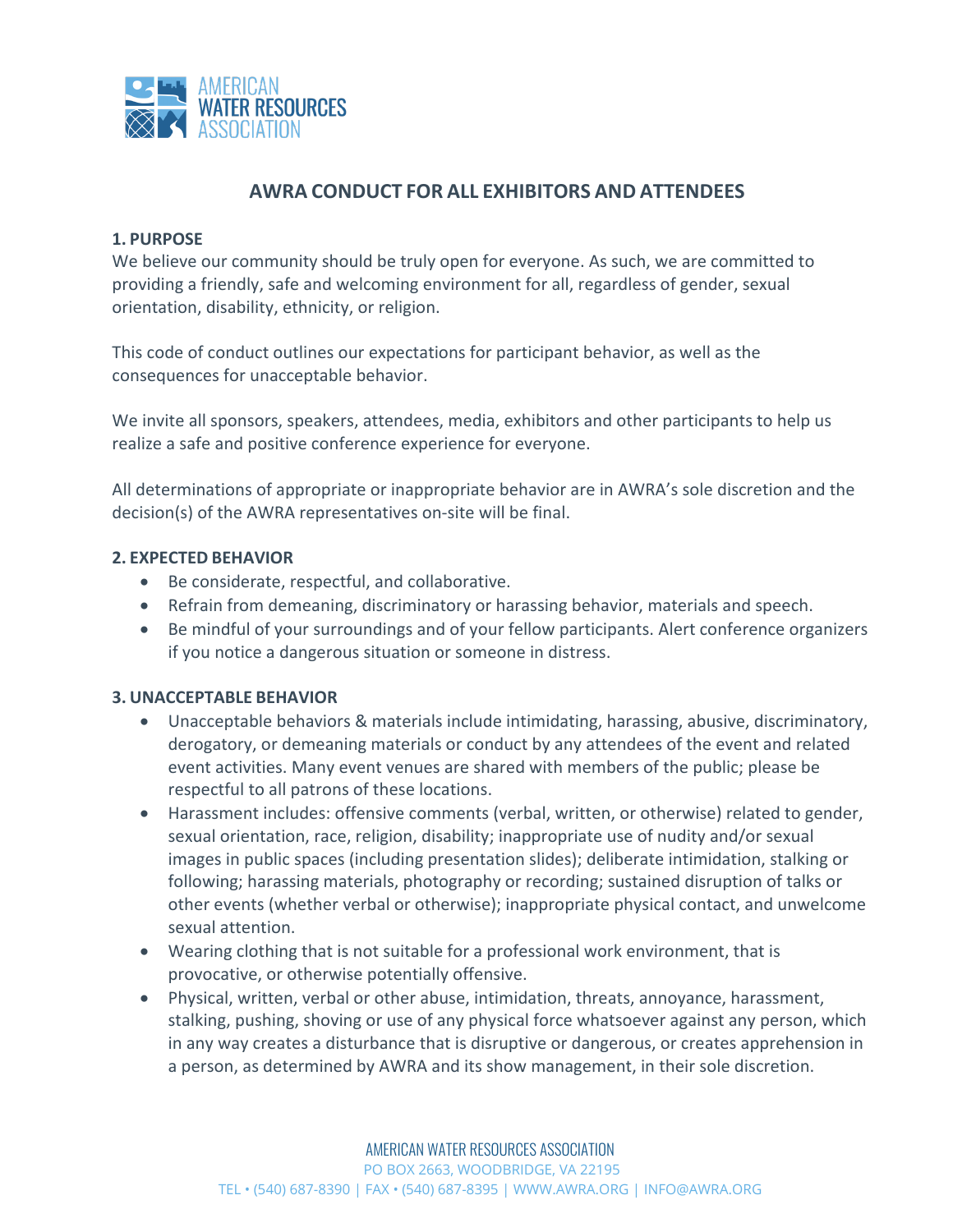

# **AWRA CONDUCT FOR ALL EXHIBITORS AND ATTENDEES**

## **1. PURPOSE**

We believe our community should be truly open for everyone. As such, we are committed to providing a friendly, safe and welcoming environment for all, regardless of gender, sexual orientation, disability, ethnicity, or religion.

This code of conduct outlines our expectations for participant behavior, as well as the consequences for unacceptable behavior.

We invite all sponsors, speakers, attendees, media, exhibitors and other participants to help us realize a safe and positive conference experience for everyone.

All determinations of appropriate or inappropriate behavior are in AWRA's sole discretion and the decision(s) of the AWRA representatives on-site will be final.

### **2. EXPECTED BEHAVIOR**

- Be considerate, respectful, and collaborative.
- Refrain from demeaning, discriminatory or harassing behavior, materials and speech.
- Be mindful of your surroundings and of your fellow participants. Alert conference organizers if you notice a dangerous situation or someone in distress.

### **3. UNACCEPTABLE BEHAVIOR**

- Unacceptable behaviors & materials include intimidating, harassing, abusive, discriminatory, derogatory, or demeaning materials or conduct by any attendees of the event and related event activities. Many event venues are shared with members of the public; please be respectful to all patrons of these locations.
- Harassment includes: offensive comments (verbal, written, or otherwise) related to gender, sexual orientation, race, religion, disability; inappropriate use of nudity and/or sexual images in public spaces (including presentation slides); deliberate intimidation, stalking or following; harassing materials, photography or recording; sustained disruption of talks or other events (whether verbal or otherwise); inappropriate physical contact, and unwelcome sexual attention.
- Wearing clothing that is not suitable for a professional work environment, that is provocative, or otherwise potentially offensive.
- Physical, written, verbal or other abuse, intimidation, threats, annoyance, harassment, stalking, pushing, shoving or use of any physical force whatsoever against any person, which in any way creates a disturbance that is disruptive or dangerous, or creates apprehension in a person, as determined by AWRA and its show management, in their sole discretion.